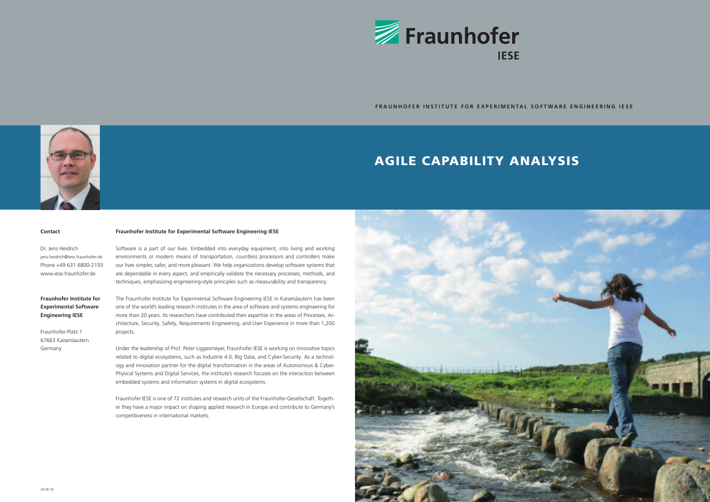# AGILE CAPABILITY ANALYSIS



**FRAUNHOFER INSTITUTE FOR EXPERIMENTAL SOFTWARE ENGINEERING IESE**

## **Contact**

Dr. Jens Heidrich jens.heidrich@iese.fraunhofer.de Phone +49 631 6800-2193 www.iese.fraunhofer.de

## **Fraunhofer Institute for Experimental Software Engineering IESE**

Fraunhofer-Platz 1 67663 Kaiserslautern Germany

### **Fraunhofer Institute for Experimental Software Engineering IESE**

Software is a part of our lives. Embedded into everyday equipment, into living and working environments or modern means of transportation, countless processors and controllers make our lives simpler, safer, and more pleasant. We help organizations develop software systems that are dependable in every aspect, and empirically validate the necessary processes, methods, and techniques, emphasizing engineering-style principles such as measurability and transparency.

The Fraunhofer Institute for Experimental Software Engineering IESE in Kaiserslautern has been one of the world's leading research institutes in the area of software and systems engineering for more than 20 years. Its researchers have contributed their expertise in the areas of Processes, Architecture, Security, Safety, Requirements Engineering, and User Experience in more than 1,200 projects.

Under the leadership of Prof. Peter Liggesmeyer, Fraunhofer IESE is working on innovative topics related to digital ecosystems, such as Industrie 4.0, Big Data, and Cyber-Security. As a technology and innovation partner for the digital transformation in the areas of Autonomous & Cyber-Physical Systems and Digital Services, the institute's research focuses on the interaction between embedded systems and information systems in digital ecosystems.

Fraunhofer IESE is one of 72 institutes and research units of the Fraunhofer-Gesellschaft. Together they have a major impact on shaping applied research in Europe and contribute to Germany's competitiveness in international markets.